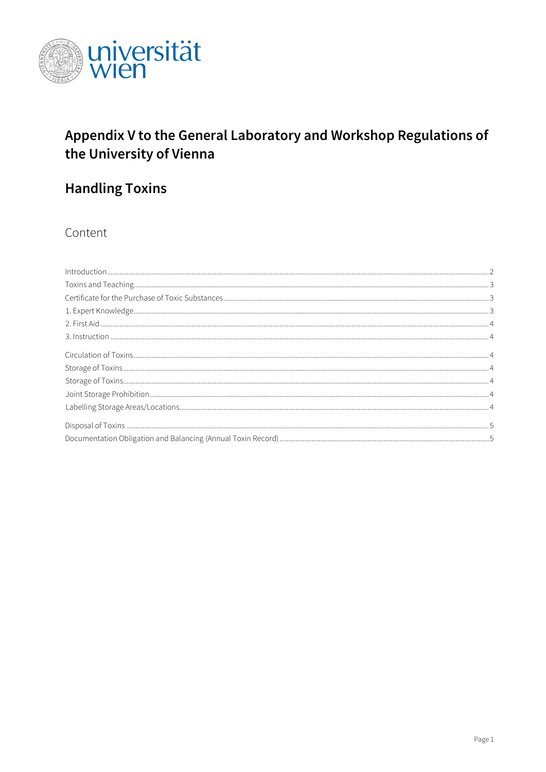

# Appendix V to the General Laboratory and Workshop Regulations of the University of Vienna

# **Handling Toxins**

Content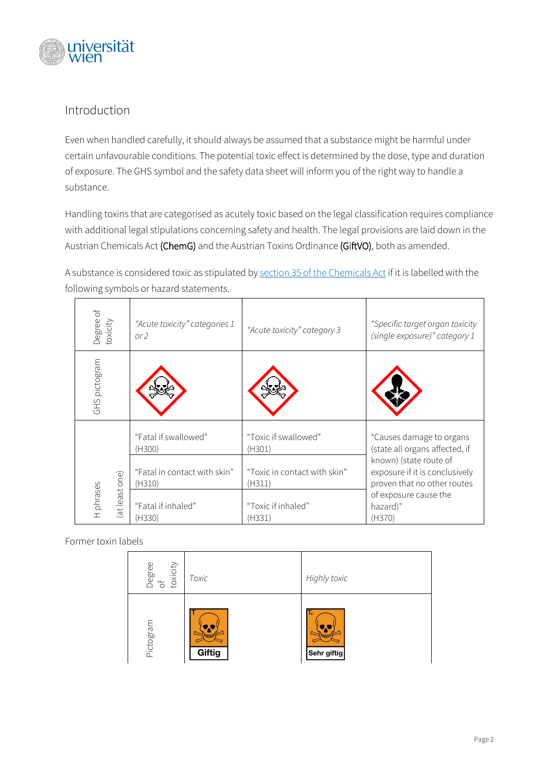

# <span id="page-1-0"></span>Introduction

Even when handled carefully, it should always be assumed that a substance might be harmful under certain unfavourable conditions. The potential toxic effect is determined by the dose, type and duration of exposure. The GHS symbol and the safety data sheet will inform you of the right way to handle a substance.

Handling toxins that are categorised as acutely toxic based on the legal classification requires compliance with additional legal stipulations concerning safety and health. The legal provisions are laid down in the Austrian Chemicals Act (ChemG) and the Austrian Toxins Ordinance (GiftVO), both as amended.

A substance is considered toxic as stipulated b[y section 35](https://www.ris.bka.gv.at/NormDokument.wxe?Abfrage=Bundesnormen&Gesetzesnummer=10011071&Paragraf=35) of the Chemicals Act if it is labelled with the following symbols or hazard statements.

| Degree of<br>toxicity       | "Acute toxicity" categories 1<br>or 2  | "Acute toxicity" category 3            | "Specific target organ toxicity<br>(single exposure)" category 1                        |
|-----------------------------|----------------------------------------|----------------------------------------|-----------------------------------------------------------------------------------------|
| GHS pictogram               |                                        |                                        |                                                                                         |
| (at least one)<br>H phrases | "Fatal if swallowed"<br>(H300)         | "Toxic if swallowed"<br>(H301)         | "Causes damage to organs<br>(state all organs affected, if                              |
|                             | "Fatal in contact with skin"<br>(H310) | "Toxic in contact with skin"<br>(H311) | known) (state route of<br>exposure if it is conclusively<br>proven that no other routes |
|                             | "Fatal if inhaled"<br>(H330)           | "Toxic if inhaled"<br>(H331)           | of exposure cause the<br>hazard)"<br>(H370)                                             |

Former toxin labels

| Degree<br>of<br>toxicity | Toxic        | Highly toxic           |
|--------------------------|--------------|------------------------|
| Pictogram                | 珊瑚<br>Giftig | I+<br>m<br>Sehr giftig |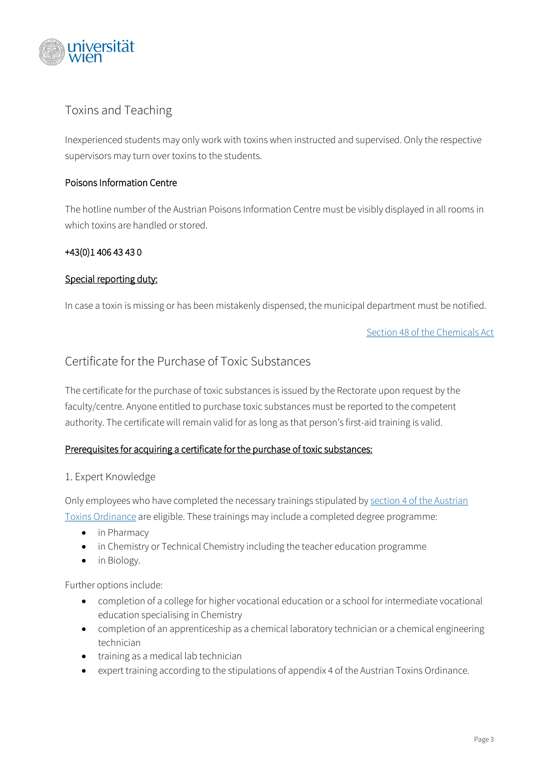

# <span id="page-2-0"></span>Toxins and Teaching

Inexperienced students may only work with toxins when instructed and supervised. Only the respective supervisors may turn over toxins to the students.

#### Poisons Information Centre

The hotline number of the Austrian Poisons Information Centre must be visibly displayed in all rooms in which toxins are handled or stored.

#### +43(0)1 406 43 43 0

### Special reporting duty:

In case a toxin is missing or has been mistakenly dispensed, the municipal department must be notified.

[Section 48](https://www.ris.bka.gv.at/NormDokument.wxe?Abfrage=Bundesnormen&Gesetzesnummer=10011071&Paragraf=48) of the Chemicals Act

## <span id="page-2-1"></span>Certificate for the Purchase of Toxic Substances

The certificate for the purchase of toxic substances is issued by the Rectorate upon request by the faculty/centre. Anyone entitled to purchase toxic substances must be reported to the competent authority. The certificate will remain valid for as long as that person's first-aid training is valid.

## Prerequisites for acquiring a certificate for the purchase of toxic substances:

#### <span id="page-2-2"></span>1. Expert Knowledge

Only employees who have completed the necessary trainings stipulated by section [4 of the Austrian](https://www.ris.bka.gv.at/Dokumente/Bundesnormen/NOR40186451/NOR40186451.html)  [Toxins Ordinance](https://www.ris.bka.gv.at/Dokumente/Bundesnormen/NOR40186451/NOR40186451.html) are eligible. These trainings may include a completed degree programme:

- in Pharmacy
- in Chemistry or Technical Chemistry including the teacher education programme
- in Biology.

Further options include:

- completion of a college for higher vocational education or a school for intermediate vocational education specialising in Chemistry
- completion of an apprenticeship as a chemical laboratory technician or a chemical engineering technician
- training as a medical lab technician
- expert training according to the stipulations of appendix 4 of the Austrian Toxins Ordinance.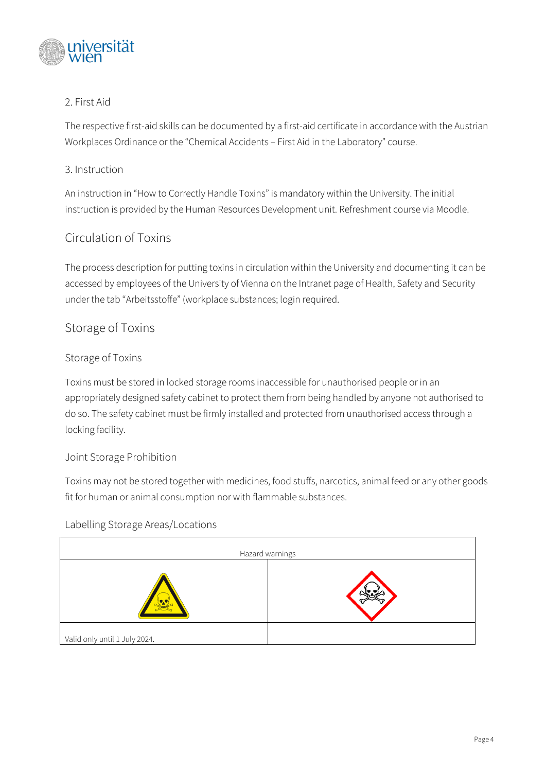

## <span id="page-3-0"></span>2. First Aid

The respective first-aid skills can be documented by a first-aid certificate in accordance with the Austrian Workplaces Ordinance or the "Chemical Accidents – First Aid in the Laboratory" course.

## <span id="page-3-1"></span>3. Instruction

An instruction in "How to Correctly Handle Toxins" is mandatory within the University. The initial instruction is provided by the Human Resources Development unit. Refreshment course via Moodle.

# <span id="page-3-2"></span>Circulation of Toxins

The process description for putting toxins in circulation within the University and documenting it can be accessed by employees of the University of Vienna on the Intranet page of Health, Safety and Security under the tab "Arbeitsstoffe" (workplace substances; login required.

## <span id="page-3-3"></span>Storage of Toxins

### <span id="page-3-4"></span>Storage of Toxins

Toxins must be stored in locked storage rooms inaccessible for unauthorised people or in an appropriately designed safety cabinet to protect them from being handled by anyone not authorised to do so. The safety cabinet must be firmly installed and protected from unauthorised access through a locking facility.

#### <span id="page-3-5"></span>Joint Storage Prohibition

Toxins may not be stored together with medicines, food stuffs, narcotics, animal feed or any other goods fit for human or animal consumption nor with flammable substances.

#### <span id="page-3-6"></span>Labelling Storage Areas/Locations

|                               | Hazard warnings |
|-------------------------------|-----------------|
|                               |                 |
| Valid only until 1 July 2024. |                 |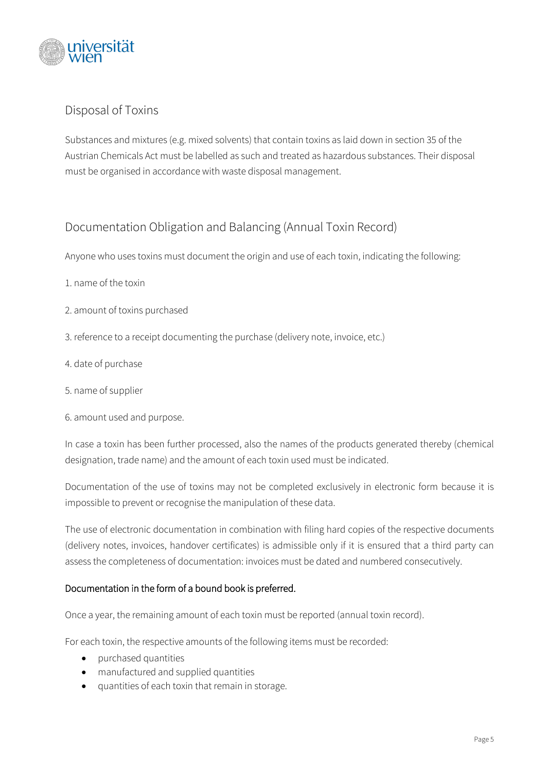

# <span id="page-4-0"></span>Disposal of Toxins

Substances and mixtures (e.g. mixed solvents) that contain toxins as laid down in section 35 of the Austrian Chemicals Act must be labelled as such and treated as hazardous substances. Their disposal must be organised in accordance with waste disposal management.

## <span id="page-4-1"></span>Documentation Obligation and Balancing (Annual Toxin Record)

Anyone who uses toxins must document the origin and use of each toxin, indicating the following:

- 1. name of the toxin
- 2. amount of toxins purchased
- 3. reference to a receipt documenting the purchase (delivery note, invoice, etc.)
- 4. date of purchase
- 5. name of supplier
- 6. amount used and purpose.

In case a toxin has been further processed, also the names of the products generated thereby (chemical designation, trade name) and the amount of each toxin used must be indicated.

Documentation of the use of toxins may not be completed exclusively in electronic form because it is impossible to prevent or recognise the manipulation of these data.

The use of electronic documentation in combination with filing hard copies of the respective documents (delivery notes, invoices, handover certificates) is admissible only if it is ensured that a third party can assess the completeness of documentation: invoices must be dated and numbered consecutively.

#### Documentation in the form of a bound book is preferred.

Once a year, the remaining amount of each toxin must be reported (annual toxin record).

For each toxin, the respective amounts of the following items must be recorded:

- purchased quantities
- manufactured and supplied quantities
- quantities of each toxin that remain in storage.